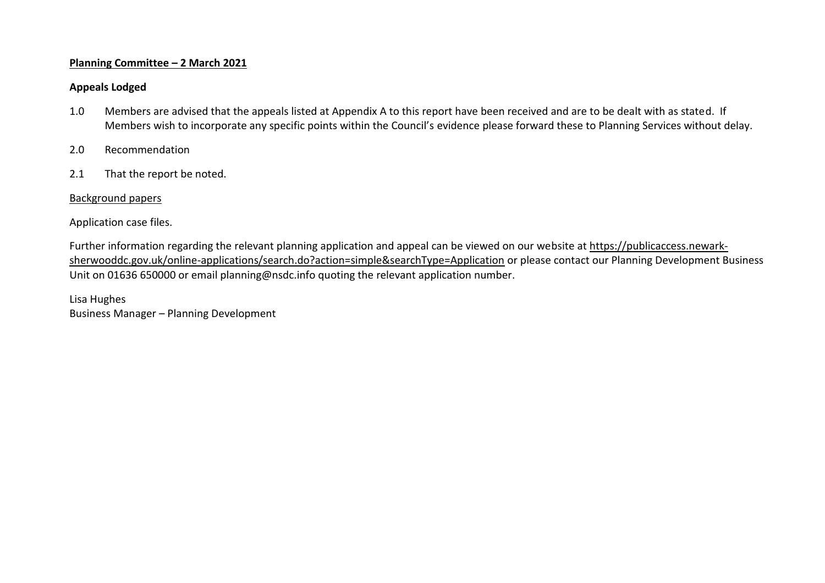#### **Planning Committee – 2 March 2021**

#### **Appeals Lodged**

- 1.0 Members are advised that the appeals listed at Appendix A to this report have been received and are to be dealt with as stated. If Members wish to incorporate any specific points within the Council's evidence please forward these to Planning Services without delay.
- 2.0 Recommendation
- 2.1 That the report be noted.

## Background papers

## Application case files.

Further information regarding the relevant planning application and appeal can be viewed on our website at [https://publicaccess.newark](https://publicaccess.newark-sherwooddc.gov.uk/online-applications/search.do?action=simple&searchType=Application)[sherwooddc.gov.uk/online-applications/search.do?action=simple&searchType=Application](https://publicaccess.newark-sherwooddc.gov.uk/online-applications/search.do?action=simple&searchType=Application) or please contact our Planning Development Business Unit on 01636 650000 or email planning@nsdc.info quoting the relevant application number.

Lisa Hughes Business Manager – Planning Development